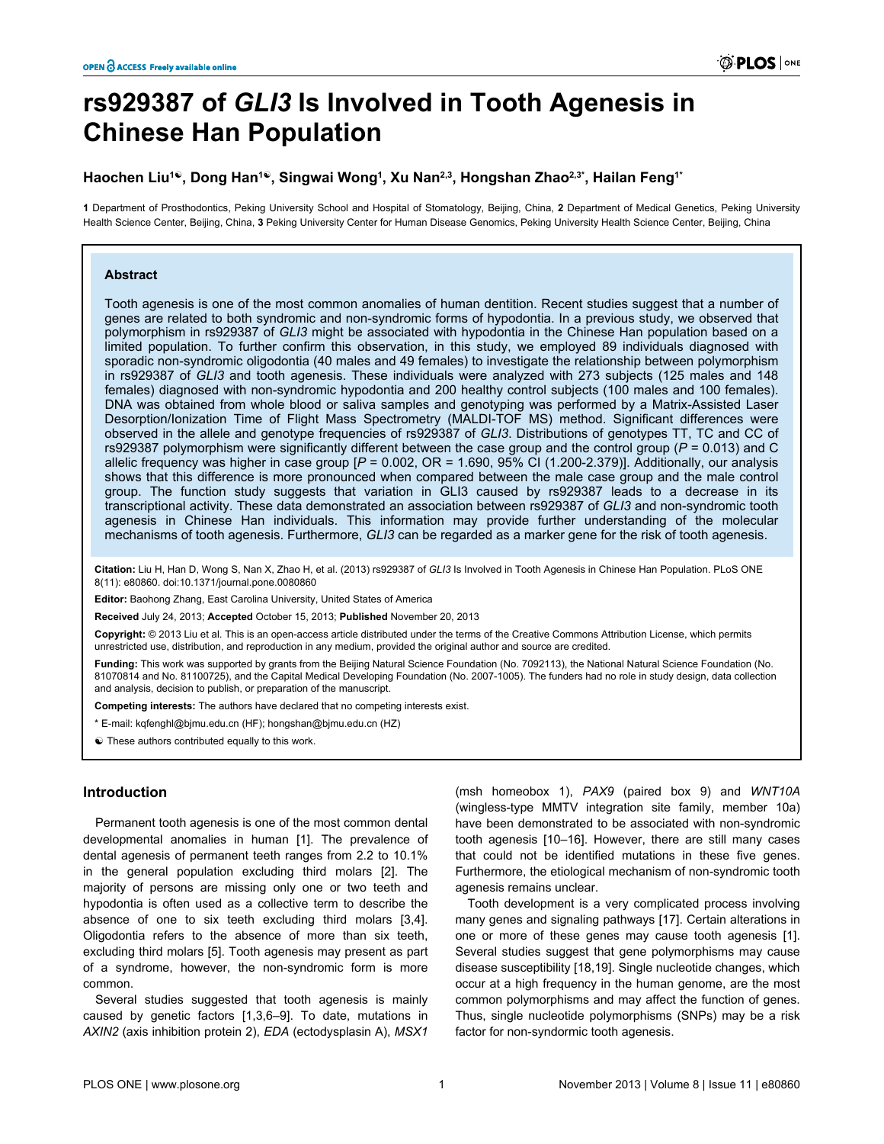# **rs929387 of** *GLI3* **Is Involved in Tooth Agenesis in Chinese Han Population**

## **Haochen Liu<sup>1</sup>☯, Dong Han<sup>1</sup>☯, Singwai Wong<sup>1</sup> , Xu Nan2,3, Hongshan Zhao2,3\*, Hailan Feng1\***

**1** Department of Prosthodontics, Peking University School and Hospital of Stomatology, Beijing, China, **2** Department of Medical Genetics, Peking University Health Science Center, Beijing, China, **3** Peking University Center for Human Disease Genomics, Peking University Health Science Center, Beijing, China

#### **Abstract**

Tooth agenesis is one of the most common anomalies of human dentition. Recent studies suggest that a number of genes are related to both syndromic and non-syndromic forms of hypodontia. In a previous study, we observed that polymorphism in rs929387 of *GLI3* might be associated with hypodontia in the Chinese Han population based on a limited population. To further confirm this observation, in this study, we employed 89 individuals diagnosed with sporadic non-syndromic oligodontia (40 males and 49 females) to investigate the relationship between polymorphism in rs929387 of *GLI3* and tooth agenesis. These individuals were analyzed with 273 subjects (125 males and 148 females) diagnosed with non-syndromic hypodontia and 200 healthy control subjects (100 males and 100 females). DNA was obtained from whole blood or saliva samples and genotyping was performed by a Matrix-Assisted Laser Desorption/Ionization Time of Flight Mass Spectrometry (MALDI-TOF MS) method. Significant differences were observed in the allele and genotype frequencies of rs929387 of *GLI3*. Distributions of genotypes TT, TC and CC of rs929387 polymorphism were significantly different between the case group and the control group (*P* = 0.013) and C allelic frequency was higher in case group  $[ P = 0.002, \text{ OR } = 1.690, \text{ 95% CI } (1.200 - 2.379) ]$ . Additionally, our analysis shows that this difference is more pronounced when compared between the male case group and the male control group. The function study suggests that variation in GLI3 caused by rs929387 leads to a decrease in its transcriptional activity. These data demonstrated an association between rs929387 of *GLI3* and non-syndromic tooth agenesis in Chinese Han individuals. This information may provide further understanding of the molecular mechanisms of tooth agenesis. Furthermore, *GLI3* can be regarded as a marker gene for the risk of tooth agenesis.

**Citation:** Liu H, Han D, Wong S, Nan X, Zhao H, et al. (2013) rs929387 of *GLI3* Is Involved in Tooth Agenesis in Chinese Han Population. PLoS ONE 8(11): e80860. doi:10.1371/journal.pone.0080860

**Editor:** Baohong Zhang, East Carolina University, United States of America

**Received** July 24, 2013; **Accepted** October 15, 2013; **Published** November 20, 2013

**Copyright:** © 2013 Liu et al. This is an open-access article distributed under the terms of the [Creative Commons Attribution License](http://creativecommons.org/licenses/by/3.0/), which permits unrestricted use, distribution, and reproduction in any medium, provided the original author and source are credited.

**Funding:** This work was supported by grants from the Beijing Natural Science Foundation (No. 7092113), the National Natural Science Foundation (No. 81070814 and No. 81100725), and the Capital Medical Developing Foundation (No. 2007-1005). The funders had no role in study design, data collection and analysis, decision to publish, or preparation of the manuscript.

**Competing interests:** The authors have declared that no competing interests exist.

\* E-mail: kqfenghl@bjmu.edu.cn (HF); hongshan@bjmu.edu.cn (HZ)

 $\odot$  These authors contributed equally to this work.

## **Introduction**

Permanent tooth agenesis is one of the most common dental developmental anomalies in human [[1\]](#page-5-0). The prevalence of dental agenesis of permanent teeth ranges from 2.2 to 10.1% in the general population excluding third molars [\[2](#page-5-0)]. The majority of persons are missing only one or two teeth and hypodontia is often used as a collective term to describe the absence of one to six teeth excluding third molars [[3,4\]](#page-5-0). Oligodontia refers to the absence of more than six teeth, excluding third molars [\[5](#page-5-0)]. Tooth agenesis may present as part of a syndrome, however, the non-syndromic form is more common.

Several studies suggested that tooth agenesis is mainly caused by genetic factors [\[1,3,6](#page-5-0)–[9\]](#page-5-0). To date, mutations in *AXIN2* (axis inhibition protein 2), *EDA* (ectodysplasin A), *MSX1*

(msh homeobox 1), *PAX9* (paired box 9) and *WNT10A* (wingless-type MMTV integration site family, member 10a) have been demonstrated to be associated with non-syndromic tooth agenesis [[10–16\]](#page-5-0). However, there are still many cases that could not be identified mutations in these five genes. Furthermore, the etiological mechanism of non-syndromic tooth agenesis remains unclear.

Tooth development is a very complicated process involving many genes and signaling pathways [[17](#page-5-0)]. Certain alterations in one or more of these genes may cause tooth agenesis [[1\]](#page-5-0). Several studies suggest that gene polymorphisms may cause disease susceptibility [\[18,19](#page-5-0)]. Single nucleotide changes, which occur at a high frequency in the human genome, are the most common polymorphisms and may affect the function of genes. Thus, single nucleotide polymorphisms (SNPs) may be a risk factor for non-syndormic tooth agenesis.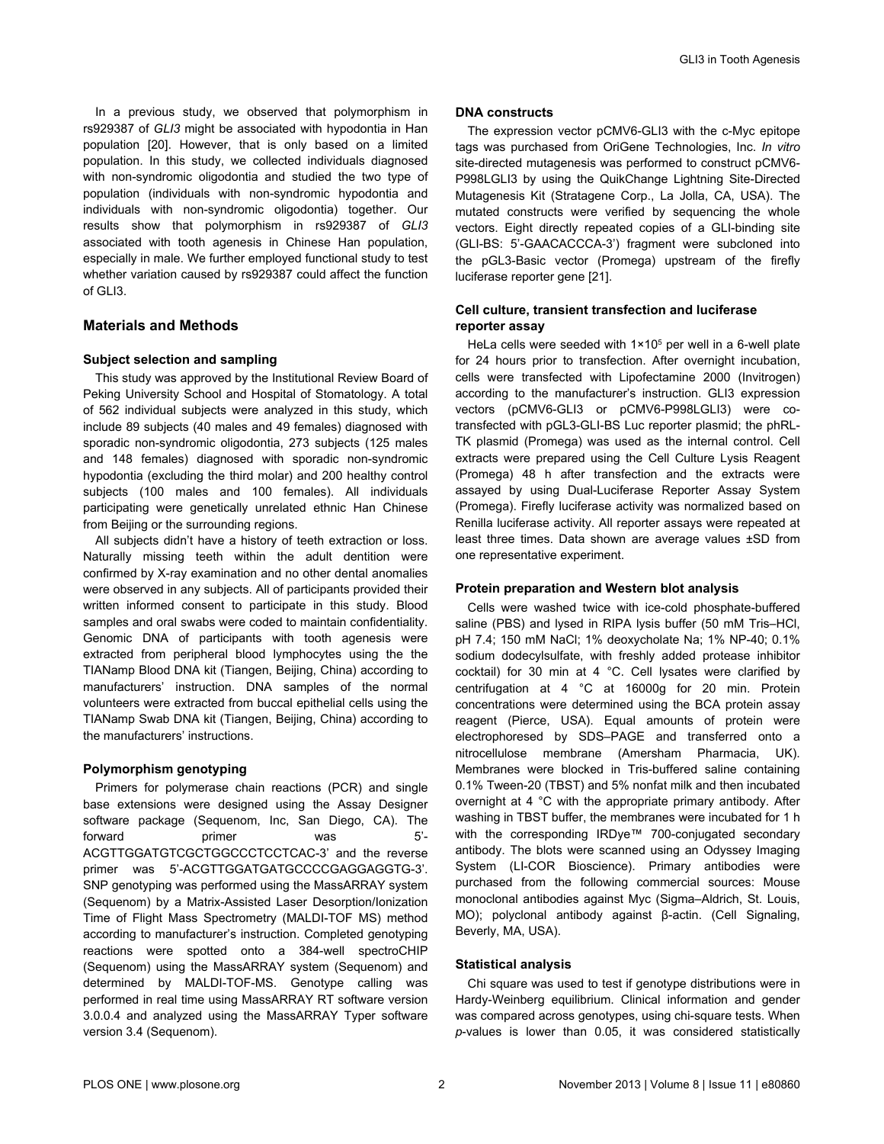In a previous study, we observed that polymorphism in rs929387 of *GLI3* might be associated with hypodontia in Han population [[20](#page-5-0)]. However, that is only based on a limited population. In this study, we collected individuals diagnosed with non-syndromic oligodontia and studied the two type of population (individuals with non-syndromic hypodontia and individuals with non-syndromic oligodontia) together. Our results show that polymorphism in rs929387 of *GLI3* associated with tooth agenesis in Chinese Han population, especially in male. We further employed functional study to test whether variation caused by rs929387 could affect the function of GLI3.

## **Materials and Methods**

## **Subject selection and sampling**

This study was approved by the Institutional Review Board of Peking University School and Hospital of Stomatology. A total of 562 individual subjects were analyzed in this study, which include 89 subjects (40 males and 49 females) diagnosed with sporadic non-syndromic oligodontia, 273 subjects (125 males and 148 females) diagnosed with sporadic non-syndromic hypodontia (excluding the third molar) and 200 healthy control subjects (100 males and 100 females). All individuals participating were genetically unrelated ethnic Han Chinese from Beijing or the surrounding regions.

All subjects didn't have a history of teeth extraction or loss. Naturally missing teeth within the adult dentition were confirmed by X-ray examination and no other dental anomalies were observed in any subjects. All of participants provided their written informed consent to participate in this study. Blood samples and oral swabs were coded to maintain confidentiality. Genomic DNA of participants with tooth agenesis were extracted from peripheral blood lymphocytes using the the TIANamp Blood DNA kit (Tiangen, Beijing, China) according to manufacturers' instruction. DNA samples of the normal volunteers were extracted from buccal epithelial cells using the TIANamp Swab DNA kit (Tiangen, Beijing, China) according to the manufacturers' instructions.

## **Polymorphism genotyping**

Primers for polymerase chain reactions (PCR) and single base extensions were designed using the Assay Designer software package (Sequenom, Inc, San Diego, CA). The forward **primer** was 5'-ACGTTGGATGTCGCTGGCCCTCCTCAC-3' and the reverse primer was 5'-ACGTTGGATGATGCCCCGAGGAGGTG-3'. SNP genotyping was performed using the MassARRAY system (Sequenom) by a Matrix-Assisted Laser Desorption/Ionization Time of Flight Mass Spectrometry (MALDI-TOF MS) method according to manufacturer's instruction. Completed genotyping reactions were spotted onto a 384-well spectroCHIP (Sequenom) using the MassARRAY system (Sequenom) and determined by MALDI-TOF-MS. Genotype calling was performed in real time using MassARRAY RT software version 3.0.0.4 and analyzed using the MassARRAY Typer software version 3.4 (Sequenom).

#### **DNA constructs**

The expression vector pCMV6-GLI3 with the c-Myc epitope tags was purchased from OriGene Technologies, Inc. *In vitro* site-directed mutagenesis was performed to construct pCMV6- P998LGLI3 by using the QuikChange Lightning Site-Directed Mutagenesis Kit (Stratagene Corp., La Jolla, CA, USA). The mutated constructs were verified by sequencing the whole vectors. Eight directly repeated copies of a GLI-binding site (GLI-BS: 5'-GAACACCCA-3') fragment were subcloned into the pGL3-Basic vector (Promega) upstream of the firefly luciferase reporter gene [[21](#page-5-0)].

## **Cell culture, transient transfection and luciferase reporter assay**

HeLa cells were seeded with  $1 \times 10^5$  per well in a 6-well plate for 24 hours prior to transfection. After overnight incubation, cells were transfected with Lipofectamine 2000 (Invitrogen) according to the manufacturer's instruction. GLI3 expression vectors (pCMV6-GLI3 or pCMV6-P998LGLI3) were cotransfected with pGL3-GLI-BS Luc reporter plasmid; the phRL-TK plasmid (Promega) was used as the internal control. Cell extracts were prepared using the Cell Culture Lysis Reagent (Promega) 48 h after transfection and the extracts were assayed by using Dual-Luciferase Reporter Assay System (Promega). Firefly luciferase activity was normalized based on Renilla luciferase activity. All reporter assays were repeated at least three times. Data shown are average values ±SD from one representative experiment.

#### **Protein preparation and Western blot analysis**

Cells were washed twice with ice-cold phosphate-buffered saline (PBS) and lysed in RIPA lysis buffer (50 mM Tris–HCl, pH 7.4; 150 mM NaCl; 1% deoxycholate Na; 1% NP-40; 0.1% sodium dodecylsulfate, with freshly added protease inhibitor cocktail) for 30 min at 4 °C. Cell lysates were clarified by centrifugation at 4 °C at 16000g for 20 min. Protein concentrations were determined using the BCA protein assay reagent (Pierce, USA). Equal amounts of protein were electrophoresed by SDS–PAGE and transferred onto a nitrocellulose membrane (Amersham Pharmacia, UK). Membranes were blocked in Tris-buffered saline containing 0.1% Tween-20 (TBST) and 5% nonfat milk and then incubated overnight at 4 °C with the appropriate primary antibody. After washing in TBST buffer, the membranes were incubated for 1 h with the corresponding IRDye™ 700-conjugated secondary antibody. The blots were scanned using an Odyssey Imaging System (LI-COR Bioscience). Primary antibodies were purchased from the following commercial sources: Mouse monoclonal antibodies against Myc (Sigma–Aldrich, St. Louis, MO); polyclonal antibody against β-actin. (Cell Signaling, Beverly, MA, USA).

#### **Statistical analysis**

Chi square was used to test if genotype distributions were in Hardy-Weinberg equilibrium. Clinical information and gender was compared across genotypes, using chi-square tests. When *p*-values is lower than 0.05, it was considered statistically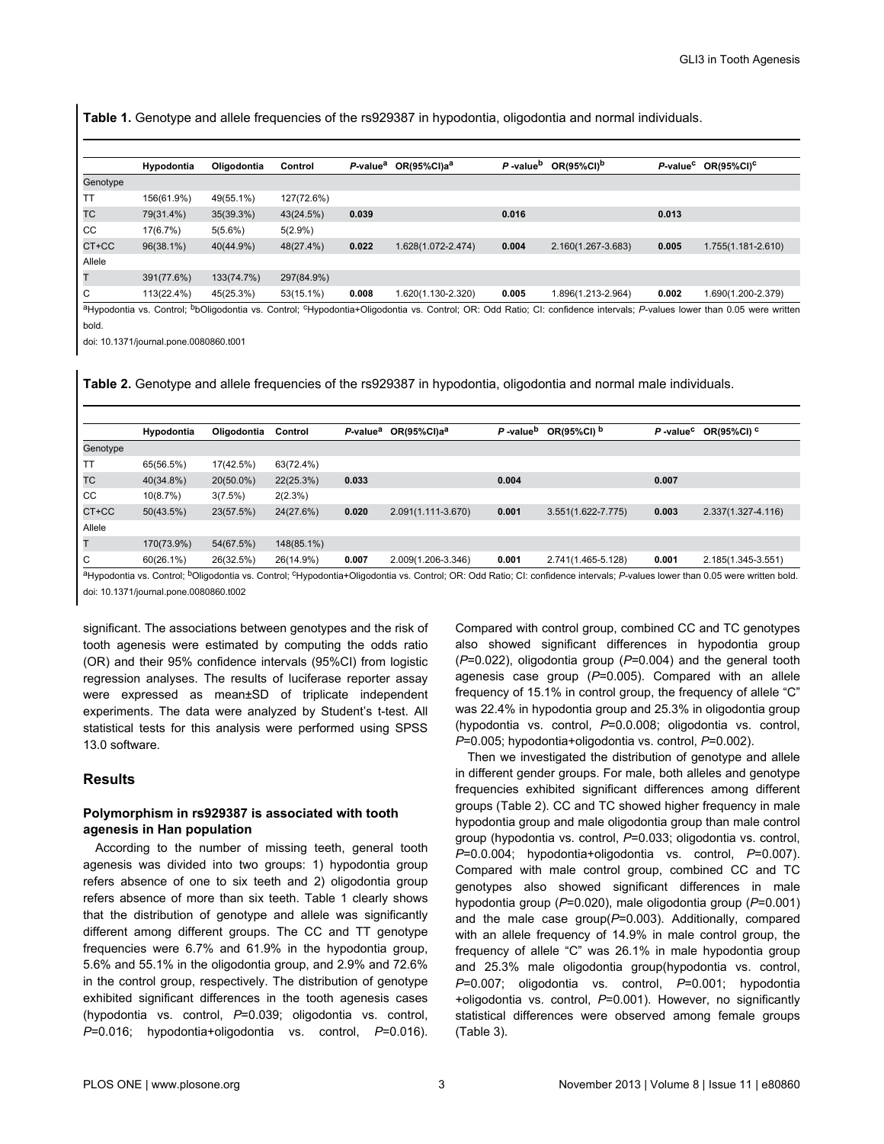**Table 1.** Genotype and allele frequencies of the rs929387 in hypodontia, oligodontia and normal individuals.

|          | Hypodontia | Oligodontia | Control    | P-value <sup>a</sup> | $OR(95\%CI)a^a$    | P-value <sup>b</sup> | $OR(95\%CI)^b$     | P-value <sup>c</sup> | $OR(95\%CI)^C$     |
|----------|------------|-------------|------------|----------------------|--------------------|----------------------|--------------------|----------------------|--------------------|
| Genotype |            |             |            |                      |                    |                      |                    |                      |                    |
| TT       | 156(61.9%) | 49(55.1%)   | 127(72.6%) |                      |                    |                      |                    |                      |                    |
| TC       | 79(31.4%)  | 35(39.3%)   | 43(24.5%)  | 0.039                |                    | 0.016                |                    | 0.013                |                    |
| CC       | 17(6.7%)   | $5(5.6\%)$  | 5(2.9%)    |                      |                    |                      |                    |                      |                    |
| CT+CC    | 96(38.1%)  | 40(44.9%)   | 48(27.4%)  | 0.022                | 1.628(1.072-2.474) | 0.004                | 2.160(1.267-3.683) | 0.005                | 1.755(1.181-2.610) |
| Allele   |            |             |            |                      |                    |                      |                    |                      |                    |
| т        | 391(77.6%) | 133(74.7%)  | 297(84.9%) |                      |                    |                      |                    |                      |                    |
| C        | 113(22.4%) | 45(25.3%)   | 53(15.1%)  | 0.008                | 1.620(1.130-2.320) | 0.005                | 1.896(1.213-2.964) | 0.002                | 1.690(1.200-2.379) |
|          |            |             |            |                      |                    |                      |                    |                      |                    |

aHypodontia vs. Control; <sup>b</sup>bOligodontia vs. Control; <sup>c</sup>Hypodontia+Oligodontia vs. Control; OR: Odd Ratio; CI: confidence intervals; P-values lower than 0.05 were written bold.

doi: 10.1371/journal.pone.0080860.t001

**Table 2.** Genotype and allele frequencies of the rs929387 in hypodontia, oligodontia and normal male individuals.

|          | Hypodontia | Oligodontia | Control    | P-value <sup>a</sup> | $OR(95\%CI)a^a$    | P-value <sup>b</sup> | OR(95%CI) b            | $P$ -value <sup>c</sup> | OR(95%CI) <sup>c</sup> |
|----------|------------|-------------|------------|----------------------|--------------------|----------------------|------------------------|-------------------------|------------------------|
| Genotype |            |             |            |                      |                    |                      |                        |                         |                        |
| TT       | 65(56.5%)  | 17(42.5%)   | 63(72.4%)  |                      |                    |                      |                        |                         |                        |
| TC       | 40(34.8%)  | 20(50.0%)   | 22(25.3%)  | 0.033                |                    | 0.004                |                        | 0.007                   |                        |
| CC       | 10(8.7%)   | 3(7.5%)     | 2(2.3%)    |                      |                    |                      |                        |                         |                        |
| CT+CC    | 50(43.5%)  | 23(57.5%)   | 24(27.6%)  | 0.020                | 2.091(1.111-3.670) | 0.001                | $3.551(1.622 - 7.775)$ | 0.003                   | 2.337(1.327-4.116)     |
| Allele   |            |             |            |                      |                    |                      |                        |                         |                        |
|          | 170(73.9%) | 54(67.5%)   | 148(85.1%) |                      |                    |                      |                        |                         |                        |
| C        | 60(26.1%)  | 26(32.5%)   | 26(14.9%)  | 0.007                | 2.009(1.206-3.346) | 0.001                | 2.741(1.465-5.128)     | 0.001                   | 2.185(1.345-3.551)     |

aHypodontia vs. Control; <sup>b</sup>Oligodontia vs. Control; <sup>c</sup>Hypodontia+Oligodontia vs. Control; OR: Odd Ratio; CI: confidence intervals; P-values lower than 0.05 were written bold.

doi: 10.1371/journal.pone.0080860.t002

significant. The associations between genotypes and the risk of tooth agenesis were estimated by computing the odds ratio (OR) and their 95% confidence intervals (95%CI) from logistic regression analyses. The results of luciferase reporter assay were expressed as mean±SD of triplicate independent experiments. The data were analyzed by Student's t-test. All statistical tests for this analysis were performed using SPSS 13.0 software.

## **Results**

## **Polymorphism in rs929387 is associated with tooth agenesis in Han population**

According to the number of missing teeth, general tooth agenesis was divided into two groups: 1) hypodontia group refers absence of one to six teeth and 2) oligodontia group refers absence of more than six teeth. Table 1 clearly shows that the distribution of genotype and allele was significantly different among different groups. The CC and TT genotype frequencies were 6.7% and 61.9% in the hypodontia group, 5.6% and 55.1% in the oligodontia group, and 2.9% and 72.6% in the control group, respectively. The distribution of genotype exhibited significant differences in the tooth agenesis cases (hypodontia vs. control, *P*=0.039; oligodontia vs. control, *P*=0.016; hypodontia+oligodontia vs. control, *P*=0.016).

Compared with control group, combined CC and TC genotypes also showed significant differences in hypodontia group (*P*=0.022), oligodontia group (*P*=0.004) and the general tooth agenesis case group (*P*=0.005). Compared with an allele frequency of 15.1% in control group, the frequency of allele "C" was 22.4% in hypodontia group and 25.3% in oligodontia group (hypodontia vs. control, *P*=0.0.008; oligodontia vs. control, *P*=0.005; hypodontia+oligodontia vs. control, *P*=0.002).

Then we investigated the distribution of genotype and allele in different gender groups. For male, both alleles and genotype frequencies exhibited significant differences among different groups (Table 2). CC and TC showed higher frequency in male hypodontia group and male oligodontia group than male control group (hypodontia vs. control, *P*=0.033; oligodontia vs. control, *P*=0.0.004; hypodontia+oligodontia vs. control, *P*=0.007). Compared with male control group, combined CC and TC genotypes also showed significant differences in male hypodontia group (*P*=0.020), male oligodontia group (*P*=0.001) and the male case group(*P*=0.003). Additionally, compared with an allele frequency of 14.9% in male control group, the frequency of allele "C" was 26.1% in male hypodontia group and 25.3% male oligodontia group(hypodontia vs. control, *P*=0.007; oligodontia vs. control, *P*=0.001; hypodontia +oligodontia vs. control, *P*=0.001). However, no significantly statistical differences were observed among female groups [\(Table 3\)](#page-3-0).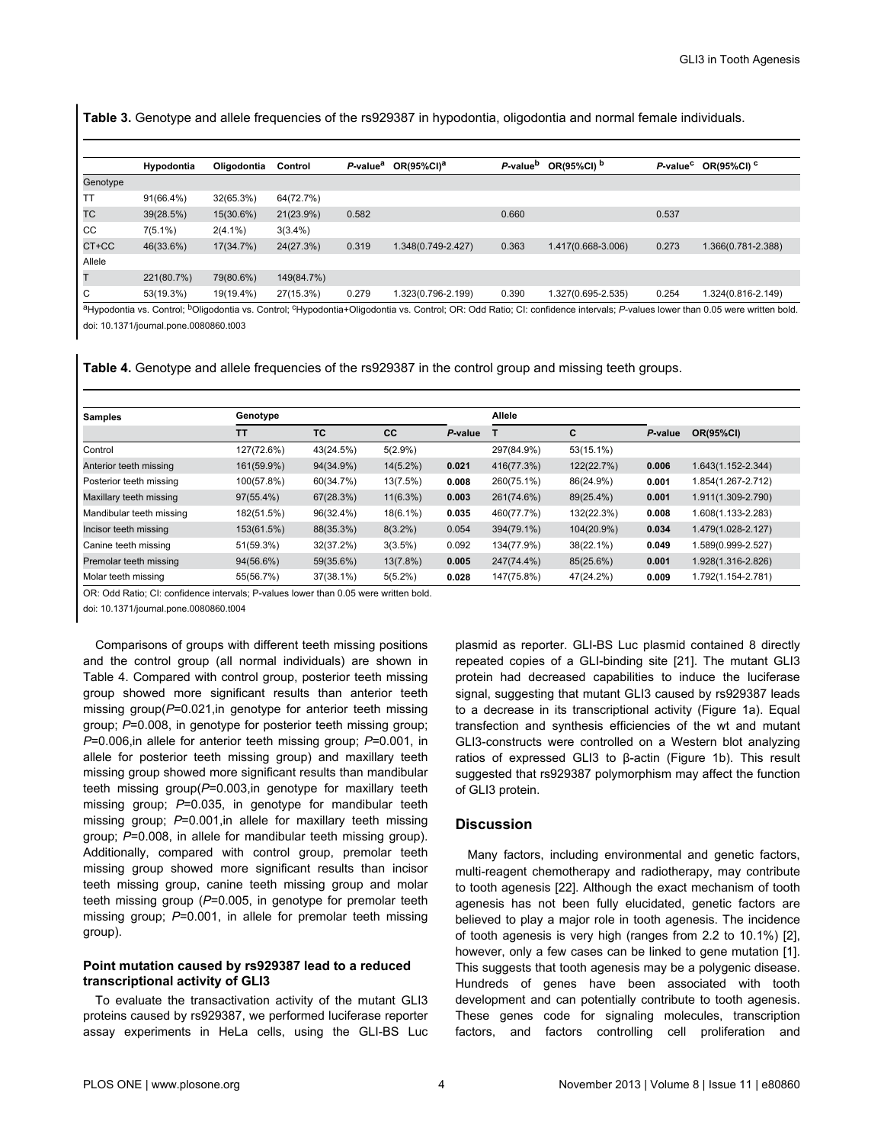<span id="page-3-0"></span>**Table 3.** Genotype and allele frequencies of the rs929387 in hypodontia, oligodontia and normal female individuals.

|          | Hypodontia | Oligodontia | Control    | P-value <sup>a</sup> | OR(95%CI) <sup>a</sup> | P-value <sup>b</sup> | OR(95%CI) b        | P-value <sup>c</sup> | OR(95%CI) <sup>c</sup> |
|----------|------------|-------------|------------|----------------------|------------------------|----------------------|--------------------|----------------------|------------------------|
| Genotype |            |             |            |                      |                        |                      |                    |                      |                        |
| TT       | 91(66.4%)  | 32(65.3%)   | 64(72.7%)  |                      |                        |                      |                    |                      |                        |
| ТC       | 39(28.5%)  | 15(30.6%)   | 21(23.9%)  | 0.582                |                        | 0.660                |                    | 0.537                |                        |
| CC       | $7(5.1\%)$ | $2(4.1\%)$  | $3(3.4\%)$ |                      |                        |                      |                    |                      |                        |
| CT+CC    | 46(33.6%)  | 17(34.7%)   | 24(27.3%)  | 0.319                | 1.348(0.749-2.427)     | 0.363                | 1.417(0.668-3.006) | 0.273                | 1.366(0.781-2.388)     |
| Allele   |            |             |            |                      |                        |                      |                    |                      |                        |
|          | 221(80.7%) | 79(80.6%)   | 149(84.7%) |                      |                        |                      |                    |                      |                        |
| C        | 53(19.3%)  | 19(19.4%)   | 27(15.3%)  | 0.279                | 1.323(0.796-2.199)     | 0.390                | 1.327(0.695-2.535) | 0.254                | 1.324(0.816-2.149)     |

aHypodontia vs. Control; bOligodontia vs. Control; cHypodontia+Oligodontia vs. Control; OR: Odd Ratio; CI: confidence intervals; *P*-values lower than 0.05 were written bold. doi: 10.1371/journal.pone.0080860.t003

**Table 4.** Genotype and allele frequencies of the rs929387 in the control group and missing teeth groups.

| <b>Samples</b>           | Genotype     |           |             | Allele  |            |              |         |                    |
|--------------------------|--------------|-----------|-------------|---------|------------|--------------|---------|--------------------|
|                          | <b>TT</b>    | <b>TC</b> | cc          | P-value |            | С            | P-value | <b>OR(95%CI)</b>   |
| Control                  | 127(72.6%)   | 43(24.5%) | $5(2.9\%)$  |         | 297(84.9%) | $53(15.1\%)$ |         |                    |
| Anterior teeth missing   | 161(59.9%)   | 94(34.9%) | $14(5.2\%)$ | 0.021   | 416(77.3%) | 122(22.7%)   | 0.006   | 1.643(1.152-2.344) |
| Posterior teeth missing  | 100(57.8%)   | 60(34.7%) | 13(7.5%)    | 0.008   | 260(75.1%) | 86(24.9%)    | 0.001   | 1.854(1.267-2.712) |
| Maxillary teeth missing  | 97(55.4%)    | 67(28.3%) | $11(6.3\%)$ | 0.003   | 261(74.6%) | 89(25.4%)    | 0.001   | 1.911(1.309-2.790) |
| Mandibular teeth missing | 182(51.5%)   | 96(32.4%) | $18(6.1\%)$ | 0.035   | 460(77.7%) | 132(22.3%)   | 0.008   | 1.608(1.133-2.283) |
| Incisor teeth missing    | 153(61.5%)   | 88(35.3%) | $8(3.2\%)$  | 0.054   | 394(79.1%) | 104(20.9%)   | 0.034   | 1.479(1.028-2.127) |
| Canine teeth missing     | 51(59.3%)    | 32(37.2%) | 3(3.5%)     | 0.092   | 134(77.9%) | 38(22.1%)    | 0.049   | 1.589(0.999-2.527) |
| Premolar teeth missing   | $94(56.6\%)$ | 59(35.6%) | 13(7.8%)    | 0.005   | 247(74.4%) | 85(25.6%)    | 0.001   | 1.928(1.316-2.826) |
| Molar teeth missing      | 55(56.7%)    | 37(38.1%) | $5(5.2\%)$  | 0.028   | 147(75.8%) | 47(24.2%)    | 0.009   | 1.792(1.154-2.781) |

OR: Odd Ratio; CI: confidence intervals; P-values lower than 0.05 were written bold.

doi: 10.1371/journal.pone.0080860.t004

Comparisons of groups with different teeth missing positions and the control group (all normal individuals) are shown in Table 4. Compared with control group, posterior teeth missing group showed more significant results than anterior teeth missing group(*P*=0.021,in genotype for anterior teeth missing group; *P*=0.008, in genotype for posterior teeth missing group; *P*=0.006,in allele for anterior teeth missing group; *P*=0.001, in allele for posterior teeth missing group) and maxillary teeth missing group showed more significant results than mandibular teeth missing group(*P*=0.003,in genotype for maxillary teeth missing group; *P*=0.035, in genotype for mandibular teeth missing group; *P*=0.001,in allele for maxillary teeth missing group; *P*=0.008, in allele for mandibular teeth missing group). Additionally, compared with control group, premolar teeth missing group showed more significant results than incisor teeth missing group, canine teeth missing group and molar teeth missing group (*P*=0.005, in genotype for premolar teeth missing group; *P*=0.001, in allele for premolar teeth missing group).

## **Point mutation caused by rs929387 lead to a reduced transcriptional activity of GLI3**

To evaluate the transactivation activity of the mutant GLI3 proteins caused by rs929387, we performed luciferase reporter assay experiments in HeLa cells, using the GLI-BS Luc

plasmid as reporter. GLI-BS Luc plasmid contained 8 directly repeated copies of a GLI-binding site [\[21\]](#page-5-0). The mutant GLI3 protein had decreased capabilities to induce the luciferase signal, suggesting that mutant GLI3 caused by rs929387 leads to a decrease in its transcriptional activity [\(Figure 1a\)](#page-4-0). Equal transfection and synthesis efficiencies of the wt and mutant GLI3-constructs were controlled on a Western blot analyzing ratios of expressed GLI3 to β-actin ([Figure 1b\)](#page-4-0). This result suggested that rs929387 polymorphism may affect the function of GLI3 protein.

#### **Discussion**

Many factors, including environmental and genetic factors, multi-reagent chemotherapy and radiotherapy, may contribute to tooth agenesis [[22](#page-5-0)]. Although the exact mechanism of tooth agenesis has not been fully elucidated, genetic factors are believed to play a major role in tooth agenesis. The incidence of tooth agenesis is very high (ranges from 2.2 to 10.1%) [[2\]](#page-5-0), however, only a few cases can be linked to gene mutation [[1\]](#page-5-0). This suggests that tooth agenesis may be a polygenic disease. Hundreds of genes have been associated with tooth development and can potentially contribute to tooth agenesis. These genes code for signaling molecules, transcription factors, and factors controlling cell proliferation and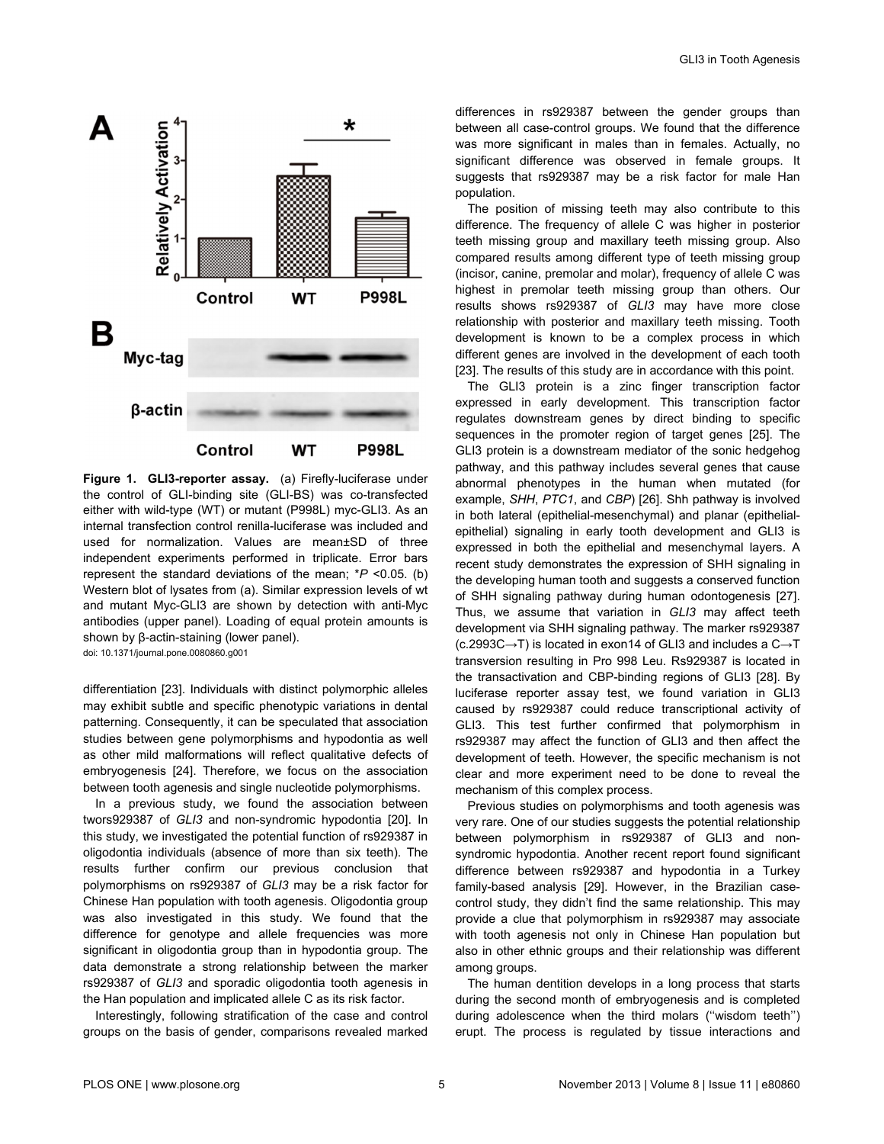<span id="page-4-0"></span>

**Figure 1. GLI3-reporter assay.** (a) Firefly-luciferase under the control of GLI-binding site (GLI-BS) was co-transfected either with wild-type (WT) or mutant (P998L) myc-GLI3. As an internal transfection control renilla-luciferase was included and used for normalization. Values are mean±SD of three independent experiments performed in triplicate. Error bars represent the standard deviations of the mean; \**P* <0.05. (b) Western blot of lysates from (a). Similar expression levels of wt and mutant Myc-GLI3 are shown by detection with anti-Myc antibodies (upper panel). Loading of equal protein amounts is shown by β-actin-staining (lower panel). doi: 10.1371/journal.pone.0080860.g001

differentiation [\[23\]](#page-5-0). Individuals with distinct polymorphic alleles may exhibit subtle and specific phenotypic variations in dental patterning. Consequently, it can be speculated that association studies between gene polymorphisms and hypodontia as well as other mild malformations will reflect qualitative defects of embryogenesis [[24](#page-5-0)]. Therefore, we focus on the association between tooth agenesis and single nucleotide polymorphisms.

In a previous study, we found the association between twors929387 of *GLI3* and non-syndromic hypodontia [[20](#page-5-0)]. In this study, we investigated the potential function of rs929387 in oligodontia individuals (absence of more than six teeth). The results further confirm our previous conclusion that polymorphisms on rs929387 of *GLI3* may be a risk factor for Chinese Han population with tooth agenesis. Oligodontia group was also investigated in this study. We found that the difference for genotype and allele frequencies was more significant in oligodontia group than in hypodontia group. The data demonstrate a strong relationship between the marker rs929387 of *GLI3* and sporadic oligodontia tooth agenesis in the Han population and implicated allele C as its risk factor.

Interestingly, following stratification of the case and control groups on the basis of gender, comparisons revealed marked

differences in rs929387 between the gender groups than between all case-control groups. We found that the difference was more significant in males than in females. Actually, no significant difference was observed in female groups. It suggests that rs929387 may be a risk factor for male Han population.

The position of missing teeth may also contribute to this difference. The frequency of allele C was higher in posterior teeth missing group and maxillary teeth missing group. Also compared results among different type of teeth missing group (incisor, canine, premolar and molar), frequency of allele C was highest in premolar teeth missing group than others. Our results shows rs929387 of *GLI3* may have more close relationship with posterior and maxillary teeth missing. Tooth development is known to be a complex process in which different genes are involved in the development of each tooth [[23](#page-5-0)]. The results of this study are in accordance with this point.

The GLI3 protein is a zinc finger transcription factor expressed in early development. This transcription factor regulates downstream genes by direct binding to specific sequences in the promoter region of target genes [\[25\]](#page-5-0). The GLI3 protein is a downstream mediator of the sonic hedgehog pathway, and this pathway includes several genes that cause abnormal phenotypes in the human when mutated (for example, *SHH*, *PTC1*, and *CBP*) [\[26\]](#page-5-0). Shh pathway is involved in both lateral (epithelial-mesenchymal) and planar (epithelialepithelial) signaling in early tooth development and GLI3 is expressed in both the epithelial and mesenchymal layers. A recent study demonstrates the expression of SHH signaling in the developing human tooth and suggests a conserved function of SHH signaling pathway during human odontogenesis [\[27\]](#page-5-0). Thus, we assume that variation in *GLI3* may affect teeth development via SHH signaling pathway. The marker rs929387 (c.2993C→T) is located in exon14 of GLI3 and includes a C→T transversion resulting in Pro 998 Leu. Rs929387 is located in the transactivation and CBP-binding regions of GLI3 [\[28\]](#page-5-0). By luciferase reporter assay test, we found variation in GLI3 caused by rs929387 could reduce transcriptional activity of GLI3. This test further confirmed that polymorphism in rs929387 may affect the function of GLI3 and then affect the development of teeth. However, the specific mechanism is not clear and more experiment need to be done to reveal the mechanism of this complex process.

Previous studies on polymorphisms and tooth agenesis was very rare. One of our studies suggests the potential relationship between polymorphism in rs929387 of GLI3 and nonsyndromic hypodontia. Another recent report found significant difference between rs929387 and hypodontia in a Turkey family-based analysis [[29](#page-5-0)]. However, in the Brazilian casecontrol study, they didn't find the same relationship. This may provide a clue that polymorphism in rs929387 may associate with tooth agenesis not only in Chinese Han population but also in other ethnic groups and their relationship was different among groups.

The human dentition develops in a long process that starts during the second month of embryogenesis and is completed during adolescence when the third molars (''wisdom teeth'') erupt. The process is regulated by tissue interactions and